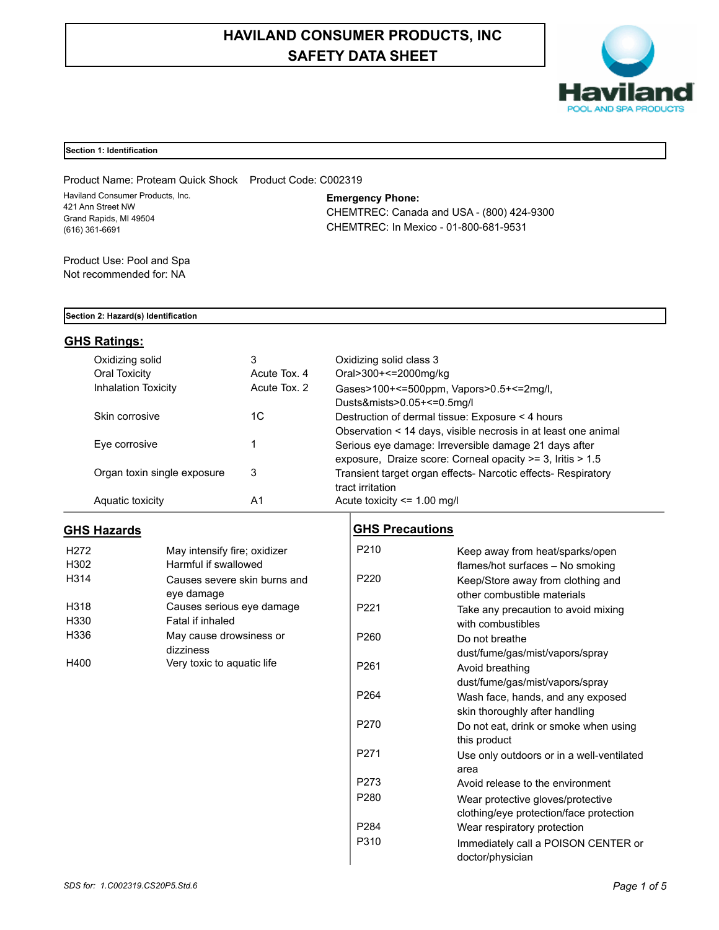# **HAVILAND CONSUMER PRODUCTS, INC SAFETY DATA SHEET**



## **Section 1: Identification**

Product Name: Proteam Quick Shock Product Code: C002319 Haviland Consumer Products, Inc. 421 Ann Street NW Grand Rapids, MI 49504 (616) 361-6691

**Emergency Phone:**

CHEMTREC: Canada and USA - (800) 424-9300 CHEMTREC: In Mexico - 01-800-681-9531

Product Use: Pool and Spa Not recommended for: NA

#### **Section 2: Hazard(s) Identification**

## **GHS Ratings:**

| Oxidizing solid             | 3            | Oxidizing solid class 3                                          |
|-----------------------------|--------------|------------------------------------------------------------------|
| Oral Toxicity               | Acute Tox, 4 | Oral>300+<=2000mg/kg                                             |
| <b>Inhalation Toxicity</b>  | Acute Tox. 2 | Gases>100+<=500ppm, Vapors>0.5+<=2mg/l,                          |
|                             |              | Dusts&mists>0.05+<=0.5mg/l                                       |
| Skin corrosive              | 1C           | Destruction of dermal tissue: Exposure < 4 hours                 |
|                             |              | Observation < 14 days, visible necrosis in at least one animal   |
| Eye corrosive               |              | Serious eye damage: Irreversible damage 21 days after            |
|                             |              | exposure, Draize score: Corneal opacity $\geq$ 3, Iritis $>$ 1.5 |
| Organ toxin single exposure | 3            | Transient target organ effects- Narcotic effects- Respiratory    |
|                             |              | tract irritation                                                 |
| Aquatic toxicity            | A1           | Acute toxicity $\leq$ 1.00 mg/l                                  |

## **GHS Hazards**

| H <sub>272</sub> | May intensify fire; oxidizer |  |
|------------------|------------------------------|--|
| H302             | Harmful if swallowed         |  |
| H314             | Causes severe skin burns and |  |
|                  | eye damage                   |  |
| H318             | Causes serious eye damage    |  |
| H330             | Fatal if inhaled             |  |
| H336             | May cause drowsiness or      |  |
|                  | dizziness                    |  |
| H400             | Very toxic to aquatic life   |  |

## **GHS Precautions**

| Keep away from heat/sparks/open           |
|-------------------------------------------|
| flames/hot surfaces - No smoking          |
| Keep/Store away from clothing and         |
| other combustible materials               |
| Take any precaution to avoid mixing       |
| with combustibles                         |
| Do not breathe                            |
| dust/fume/gas/mist/vapors/spray           |
| Avoid breathing                           |
| dust/fume/gas/mist/vapors/spray           |
| Wash face, hands, and any exposed         |
| skin thoroughly after handling            |
| Do not eat, drink or smoke when using     |
| this product                              |
| Use only outdoors or in a well-ventilated |
| area                                      |
| Avoid release to the environment          |
| Wear protective gloves/protective         |
| clothing/eye protection/face protection   |
| Wear respiratory protection               |
| Immediately call a POISON CENTER or       |
| doctor/physician                          |
|                                           |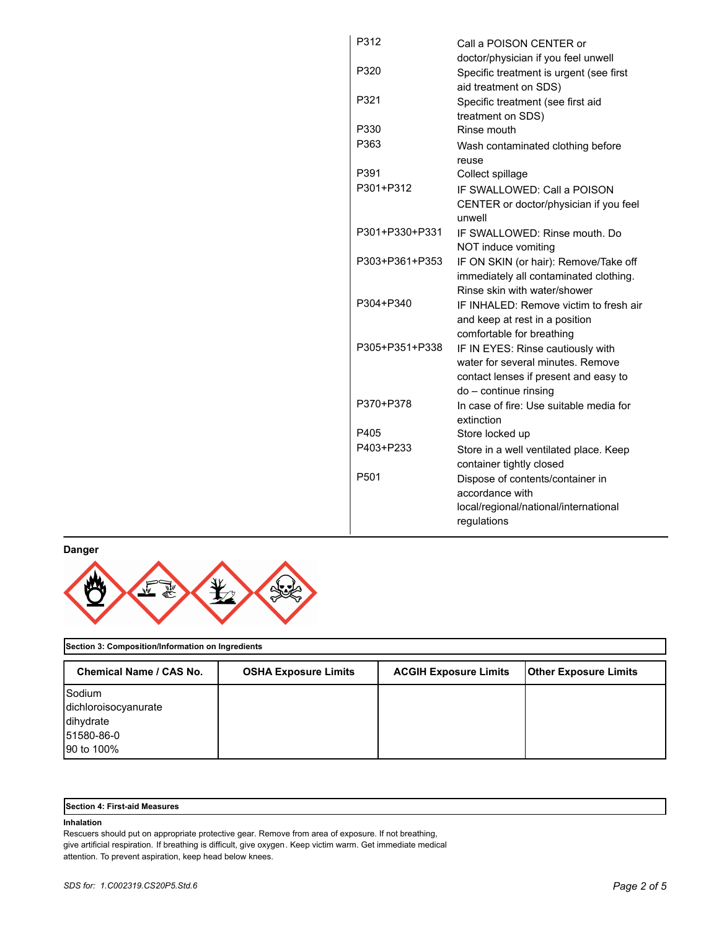| P312             | Call a POISON CENTER or                                            |
|------------------|--------------------------------------------------------------------|
|                  | doctor/physician if you feel unwell                                |
| P320             | Specific treatment is urgent (see first                            |
|                  | aid treatment on SDS)                                              |
| P321             | Specific treatment (see first aid                                  |
|                  | treatment on SDS)                                                  |
| P330             | Rinse mouth                                                        |
| P363             | Wash contaminated clothing before                                  |
|                  | reuse                                                              |
| P391             | Collect spillage                                                   |
| P301+P312        | IF SWALLOWED: Call a POISON                                        |
|                  | CENTER or doctor/physician if you feel<br>unwell                   |
| P301+P330+P331   | IF SWALLOWED: Rinse mouth, Do                                      |
|                  | NOT induce vomiting                                                |
| P303+P361+P353   | IF ON SKIN (or hair): Remove/Take off                              |
|                  | immediately all contaminated clothing.                             |
|                  | Rinse skin with water/shower                                       |
| P304+P340        | IF INHALED: Remove victim to fresh air                             |
|                  | and keep at rest in a position                                     |
|                  | comfortable for breathing                                          |
| P305+P351+P338   | IF IN EYES: Rinse cautiously with                                  |
|                  | water for several minutes. Remove                                  |
|                  | contact lenses if present and easy to                              |
| P370+P378        | do - continue rinsing                                              |
|                  | In case of fire: Use suitable media for<br>extinction              |
| P405             | Store locked up                                                    |
| P403+P233        |                                                                    |
|                  | Store in a well ventilated place. Keep<br>container tightly closed |
| P <sub>501</sub> | Dispose of contents/container in                                   |
|                  | accordance with                                                    |
|                  | local/regional/national/international                              |
|                  | regulations                                                        |
|                  |                                                                    |

**Danger**



## **Section 3: Composition/Information on Ingredients**

| Chemical Name / CAS No. | <b>OSHA Exposure Limits</b> | <b>ACGIH Exposure Limits</b> | <b>Other Exposure Limits</b> |
|-------------------------|-----------------------------|------------------------------|------------------------------|
| Sodium                  |                             |                              |                              |
| dichloroisocyanurate    |                             |                              |                              |
| dihydrate               |                             |                              |                              |
| 51580-86-0              |                             |                              |                              |
| 90 to 100%              |                             |                              |                              |

| <b>Section 4: First-aid Measures</b> |  |
|--------------------------------------|--|
|--------------------------------------|--|

## **Inhalation**

Rescuers should put on appropriate protective gear. Remove from area of exposure. If not breathing, give artificial respiration. If breathing is difficult, give oxygen. Keep victim warm. Get immediate medical attention. To prevent aspiration, keep head below knees.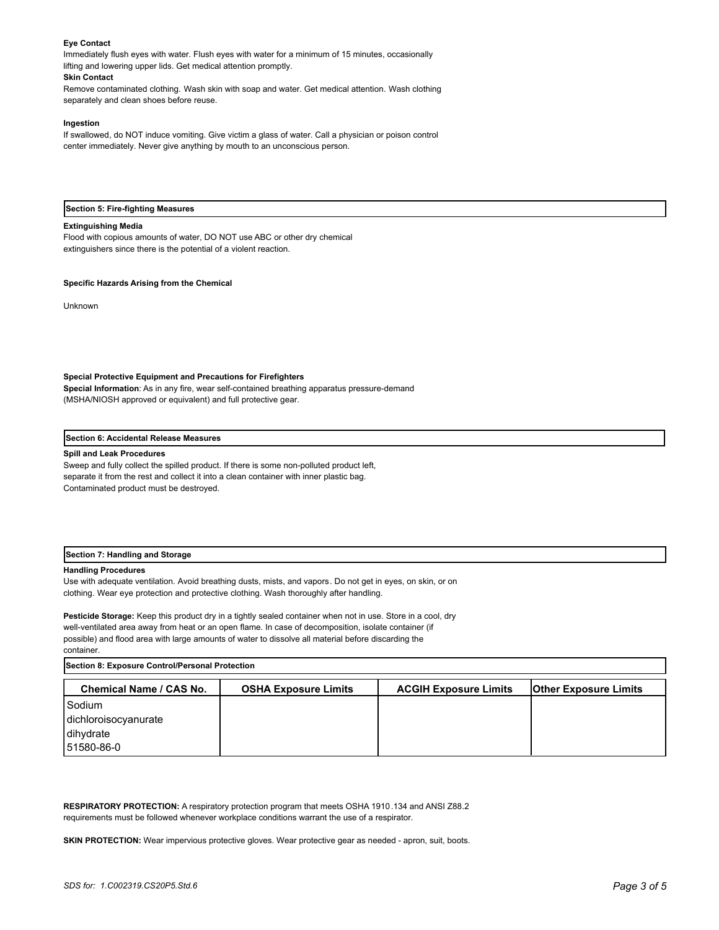#### **Eye Contact**

Immediately flush eyes with water. Flush eyes with water for a minimum of 15 minutes, occasionally lifting and lowering upper lids. Get medical attention promptly.

#### **Skin Contact**

Remove contaminated clothing. Wash skin with soap and water. Get medical attention. Wash clothing separately and clean shoes before reuse.

#### **Ingestion**

If swallowed, do NOT induce vomiting. Give victim a glass of water. Call a physician or poison control center immediately. Never give anything by mouth to an unconscious person.

#### **Section 5: Fire-fighting Measures**

#### **Extinguishing Media**

Flood with copious amounts of water, DO NOT use ABC or other dry chemical extinguishers since there is the potential of a violent reaction.

#### **Specific Hazards Arising from the Chemical**

Unknown

#### **Special Protective Equipment and Precautions for Firefighters**

**Special Information**: As in any fire, wear self-contained breathing apparatus pressure-demand (MSHA/NIOSH approved or equivalent) and full protective gear.

#### **Section 6: Accidental Release Measures**

#### **Spill and Leak Procedures**

Sweep and fully collect the spilled product. If there is some non-polluted product left, separate it from the rest and collect it into a clean container with inner plastic bag. Contaminated product must be destroyed.

#### **Section 7: Handling and Storage**

#### **Handling Procedures**

Use with adequate ventilation. Avoid breathing dusts, mists, and vapors. Do not get in eyes, on skin, or on clothing. Wear eye protection and protective clothing. Wash thoroughly after handling.

**Pesticide Storage:** Keep this product dry in a tightly sealed container when not in use. Store in a cool, dry well-ventilated area away from heat or an open flame. In case of decomposition, isolate container (if possible) and flood area with large amounts of water to dissolve all material before discarding the container.

**Section 8: Exposure Control/Personal Protection** 

| <b>Chemical Name / CAS No.</b> | <b>OSHA Exposure Limits</b> | <b>ACGIH Exposure Limits</b> | <b>Other Exposure Limits</b> |
|--------------------------------|-----------------------------|------------------------------|------------------------------|
| Sodium                         |                             |                              |                              |
| dichloroisocyanurate           |                             |                              |                              |
| dihydrate                      |                             |                              |                              |
| 151580-86-0                    |                             |                              |                              |

**RESPIRATORY PROTECTION:** A respiratory protection program that meets OSHA 1910.134 and ANSI Z88.2 requirements must be followed whenever workplace conditions warrant the use of a respirator.

**SKIN PROTECTION:** Wear impervious protective gloves. Wear protective gear as needed - apron, suit, boots.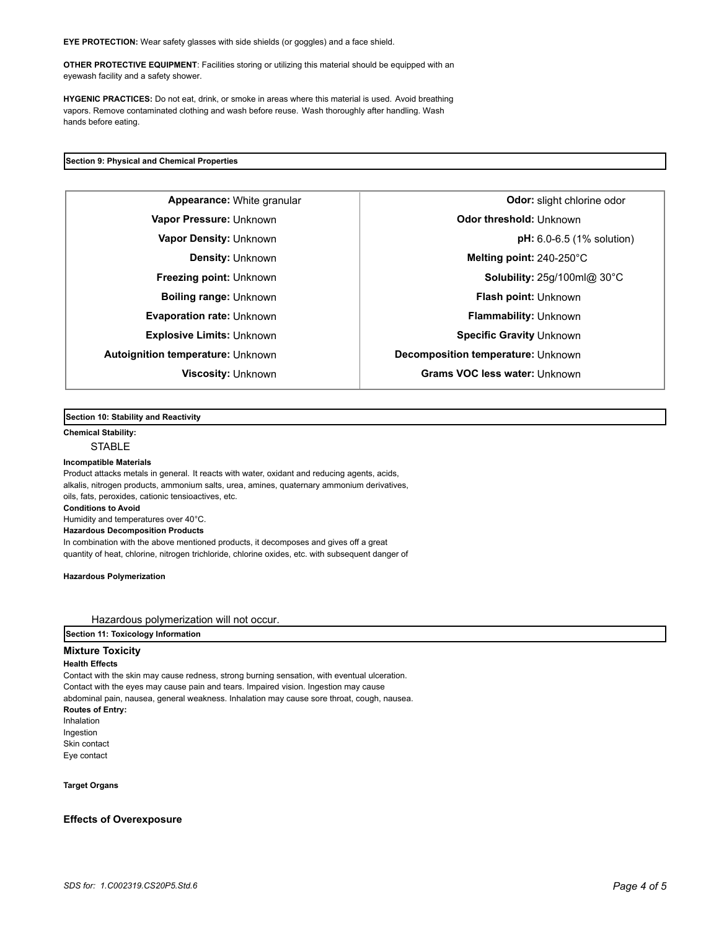**EYE PROTECTION:** Wear safety glasses with side shields (or goggles) and a face shield.

**OTHER PROTECTIVE EQUIPMENT**: Facilities storing or utilizing this material should be equipped with an eyewash facility and a safety shower.

**HYGENIC PRACTICES:** Do not eat, drink, or smoke in areas where this material is used. Avoid breathing vapors. Remove contaminated clothing and wash before reuse. Wash thoroughly after handling. Wash hands before eating.

#### **Section 9: Physical and Chemical Properties**

**Autoignition temperature:** Unknown **Decomposition temperature:** Unknown

**Appearance:** White granular **Constanting Constanting Constanting Constanting Constanting Odor:** slight chlorine odor **Vapor Pressure:** Unknown **CODO CONSTRESS (UNKNOWN CONSTRESS) Odor threshold:** Unknown **Vapor Density:** Unknown **pH:** 6.0-6.5 (1% solution) **Density:** Unknown **Melting point:** 240-250°C **Freezing point:** Unknown **Solubility:** 25g/100ml@ 30°C **Boiling range:** Unknown **Flash point: Unknown Evaporation rate:** Unknown **Flammability:** Unknown **Explosive Limits:** Unknown **Specific Gravity** Unknown **Viscosity:** Unknown **Grams VOC less water:** Unknown

## **Section 10: Stability and Reactivity**

**Chemical Stability: STABLE** 

#### **Incompatible Materials**

Product attacks metals in general. It reacts with water, oxidant and reducing agents, acids, alkalis, nitrogen products, ammonium salts, urea, amines, quaternary ammonium derivatives, oils, fats, peroxides, cationic tensioactives, etc. **Conditions to Avoid** Humidity and temperatures over 40°C. **Hazardous Decomposition Products** In combination with the above mentioned products, it decomposes and gives off a great quantity of heat, chlorine, nitrogen trichloride, chlorine oxides, etc. with subsequent danger of

**Hazardous Polymerization**

Hazardous polymerization will not occur.

## **Section 11: Toxicology Information**

### **Mixture Toxicity**

#### **Health Effects**

Contact with the skin may cause redness, strong burning sensation, with eventual ulceration. Contact with the eyes may cause pain and tears. Impaired vision. Ingestion may cause abdominal pain, nausea, general weakness. Inhalation may cause sore throat, cough, nausea. **Routes of Entry:** Inhalation Ingestion Skin contact Eye contact

**Target Organs**

#### **Effects of Overexposure**